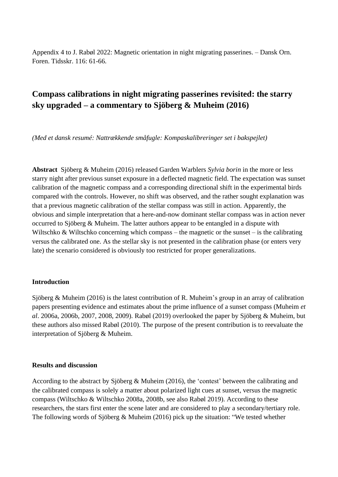Appendix 4 to J. Rabøl 2022: Magnetic orientation in night migrating passerines. – Dansk Orn. Foren. Tidsskr. 116: 61-66.

# **Compass calibrations in night migrating passerines revisited: the starry sky upgraded – a commentary to Sjöberg & Muheim (2016)**

*(Med et dansk resumé: Nattrækkende småfugle: Kompaskalibreringer set i bakspejlet)*

**Abstract** Sjöberg & Muheim (2016) released Garden Warblers *Sylvia borin* in the more or less starry night after previous sunset exposure in a deflected magnetic field. The expectation was sunset calibration of the magnetic compass and a corresponding directional shift in the experimental birds compared with the controls. However, no shift was observed, and the rather sought explanation was that a previous magnetic calibration of the stellar compass was still in action. Apparently, the obvious and simple interpretation that a here-and-now dominant stellar compass was in action never occurred to Sjöberg & Muheim. The latter authors appear to be entangled in a dispute with Wiltschko & Wiltschko concerning which compass – the magnetic or the sunset – is the calibrating versus the calibrated one. As the stellar sky is not presented in the calibration phase (or enters very late) the scenario considered is obviously too restricted for proper generalizations.

### **Introduction**

Sjöberg & Muheim (2016) is the latest contribution of R. Muheim's group in an array of calibration papers presenting evidence and estimates about the prime influence of a sunset compass (Muheim *et al*. 2006a, 2006b, 2007, 2008, 2009). Rabøl (2019) overlooked the paper by Sjöberg & Muheim, but these authors also missed Rabøl (2010). The purpose of the present contribution is to reevaluate the interpretation of Sjöberg & Muheim.

#### **Results and discussion**

According to the abstract by Sjöberg & Muheim (2016), the 'contest' between the calibrating and the calibrated compass is solely a matter about polarized light cues at sunset, versus the magnetic compass (Wiltschko & Wiltschko 2008a, 2008b, see also Rabøl 2019). According to these researchers, the stars first enter the scene later and are considered to play a secondary/tertiary role. The following words of Sjöberg & Muheim (2016) pick up the situation: "We tested whether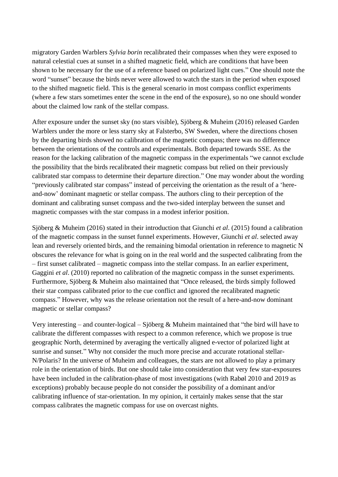migratory Garden Warblers *Sylvia borin* recalibrated their compasses when they were exposed to natural celestial cues at sunset in a shifted magnetic field, which are conditions that have been shown to be necessary for the use of a reference based on polarized light cues." One should note the word "sunset" because the birds never were allowed to watch the stars in the period when exposed to the shifted magnetic field. This is the general scenario in most compass conflict experiments (where a few stars sometimes enter the scene in the end of the exposure), so no one should wonder about the claimed low rank of the stellar compass.

After exposure under the sunset sky (no stars visible), Sjöberg & Muheim (2016) released Garden Warblers under the more or less starry sky at Falsterbo, SW Sweden, where the directions chosen by the departing birds showed no calibration of the magnetic compass; there was no difference between the orientations of the controls and experimentals. Both departed towards SSE. As the reason for the lacking calibration of the magnetic compass in the experimentals "we cannot exclude the possibility that the birds recalibrated their magnetic compass but relied on their previously calibrated star compass to determine their departure direction." One may wonder about the wording "previously calibrated star compass" instead of perceiving the orientation as the result of a 'hereand-now' dominant magnetic or stellar compass. The authors cling to their perception of the dominant and calibrating sunset compass and the two-sided interplay between the sunset and magnetic compasses with the star compass in a modest inferior position.

Sjöberg & Muheim (2016) stated in their introduction that Giunchi *et al*. (2015) found a calibration of the magnetic compass in the sunset funnel experiments. However, Giunchi *et al*. selected away lean and reversely oriented birds, and the remaining bimodal orientation in reference to magnetic N obscures the relevance for what is going on in the real world and the suspected calibrating from the – first sunset calibrated – magnetic compass into the stellar compass. In an earlier experiment, Gaggini *et al.* (2010) reported no calibration of the magnetic compass in the sunset experiments. Furthermore, Sjöberg & Muheim also maintained that "Once released, the birds simply followed their star compass calibrated prior to the cue conflict and ignored the recalibrated magnetic compass." However, why was the release orientation not the result of a here-and-now dominant magnetic or stellar compass?

Very interesting – and counter-logical – Sjöberg & Muheim maintained that "the bird will have to calibrate the different compasses with respect to a common reference, which we propose is true geographic North, determined by averaging the vertically aligned e-vector of polarized light at sunrise and sunset." Why not consider the much more precise and accurate rotational stellar-N/Polaris? In the universe of Muheim and colleagues, the stars are not allowed to play a primary role in the orientation of birds. But one should take into consideration that very few star-exposures have been included in the calibration-phase of most investigations (with Rabøl 2010 and 2019 as exceptions) probably because people do not consider the possibility of a dominant and/or calibrating influence of star-orientation. In my opinion, it certainly makes sense that the star compass calibrates the magnetic compass for use on overcast nights.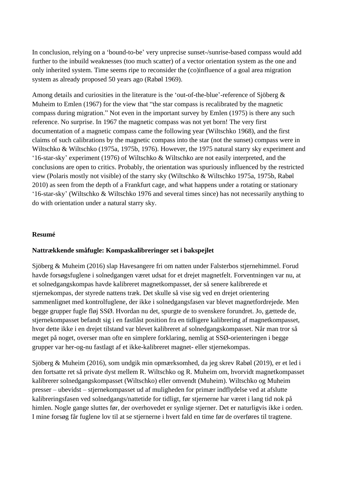In conclusion, relying on a 'bound-to-be' very unprecise sunset-/sunrise-based compass would add further to the inbuild weaknesses (too much scatter) of a vector orientation system as the one and only inherited system. Time seems ripe to reconsider the (co)influence of a goal area migration system as already proposed 50 years ago (Rabøl 1969).

Among details and curiosities in the literature is the 'out-of-the-blue'-reference of Sjöberg  $\&$ Muheim to Emlen (1967) for the view that "the star compass is recalibrated by the magnetic compass during migration." Not even in the important survey by Emlen (1975) is there any such reference. No surprise. In 1967 the magnetic compass was not yet born! The very first documentation of a magnetic compass came the following year (Wiltschko 1968), and the first claims of such calibrations by the magnetic compass into the star (not the sunset) compass were in Wiltschko & Wiltschko (1975a, 1975b, 1976). However, the 1975 natural starry sky experiment and '16-star-sky' experiment (1976) of Wiltschko & Wiltschko are not easily interpreted, and the conclusions are open to critics. Probably, the orientation was spuriously influenced by the restricted view (Polaris mostly not visible) of the starry sky (Wiltschko & Wiltschko 1975a, 1975b, Rabøl 2010) as seen from the depth of a Frankfurt cage, and what happens under a rotating or stationary '16-star-sky' (Wiltschko & Wiltschko 1976 and several times since) has not necessarily anything to do with orientation under a natural starry sky.

## **Resumé**

## **Nattrækkende småfugle: Kompaskalibreringer set i bakspejlet**

Sjöberg & Muheim (2016) slap Havesangere fri om natten under Falsterbos stjernehimmel. Forud havde forsøgsfuglene i solnedgangen været udsat for et drejet magnetfelt. Forventningen var nu, at et solnedgangskompas havde kalibreret magnetkompasset, der så senere kalibrerede et stjernekompas, der styrede nattens træk. Det skulle så vise sig ved en drejet orientering sammenlignet med kontrolfuglene, der ikke i solnedgangsfasen var blevet magnetfordrejede. Men begge grupper fugle fløj SSØ. Hvordan nu det, spurgte de to svenskere forundret. Jo, gættede de, stjernekompasset befandt sig i en fastlåst position fra en tidligere kalibrering af magnetkompasset, hvor dette ikke i en drejet tilstand var blevet kalibreret af solnedgangskompasset. Når man tror så meget på noget, overser man ofte en simplere forklaring, nemlig at SSØ-orienteringen i begge grupper var her-og-nu fastlagt af et ikke-kalibreret magnet- eller stjernekompas.

Sjöberg & Muheim (2016), som undgik min opmærksomhed, da jeg skrev Rabøl (2019), er et led i den fortsatte ret så private dyst mellem R. Wiltschko og R. Muheim om, hvorvidt magnetkompasset kalibrerer solnedgangskompasset (Wiltschko) eller omvendt (Muheim). Wiltschko og Muheim presser – ubevidst – stjernekompasset ud af muligheden for primær indflydelse ved at afslutte kalibreringsfasen ved solnedgangs/nattetide for tidligt, før stjernerne har været i lang tid nok på himlen. Nogle gange sluttes før, der overhovedet er synlige stjerner. Det er naturligvis ikke i orden. I mine forsøg får fuglene lov til at se stjernerne i hvert fald en time før de overføres til tragtene.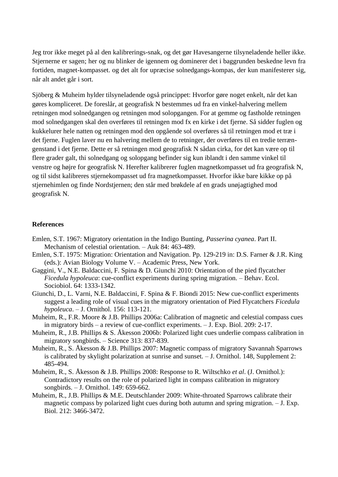Jeg tror ikke meget på al den kalibrerings-snak, og det gør Havesangerne tilsyneladende heller ikke. Stjernerne er sagen; her og nu blinker de igennem og dominerer det i baggrunden beskedne levn fra fortiden, magnet-kompasset. og det alt for upræcise solnedgangs-kompas, der kun manifesterer sig, når alt andet går i sort.

Sjöberg & Muheim hylder tilsyneladende også princippet: Hvorfor gøre noget enkelt, når det kan gøres kompliceret. De foreslår, at geografisk N bestemmes ud fra en vinkel-halvering mellem retningen mod solnedgangen og retningen mod solopgangen. For at gemme og fastholde retningen mod solnedgangen skal den overføres til retningen mod fx en kirke i det fjerne. Så sidder fuglen og kukkelurer hele natten og retningen mod den opgående sol overføres så til retningen mod et træ i det fjerne. Fuglen laver nu en halvering mellem de to retninger, der overføres til en tredie terrængenstand i det fjerne. Dette er så retningen mod geografisk N sådan cirka, for det kan være op til flere grader galt, thi solnedgang og solopgang befinder sig kun iblandt i den samme vinkel til venstre og højre for geografisk N. Herefter kalibrerer fuglen magnetkompasset ud fra geografisk N, og til sidst kalibreres stjernekompasset ud fra magnetkompasset. Hvorfor ikke bare kikke op på stjernehimlen og finde Nordstjernen; den står med brøkdele af en grads unøjagtighed mod geografisk N.

#### **References**

- Emlen, S.T. 1967: Migratory orientation in the Indigo Bunting, *Passerina cyanea*. Part II. Mechanism of celestial orientation. – Auk 84: 463-489.
- Emlen, S.T. 1975: Migration: Orientation and Navigation. Pp. 129-219 in: D.S. Farner & J.R. King (eds.): Avian Biology Volume V. – Academic Press, New York.
- Gaggini, V., N.E. Baldaccini, F. Spina & D. Giunchi 2010: Orientation of the pied flycatcher *Ficedula hypoleuca*: cue-conflict experiments during spring migration. – Behav. Ecol. Sociobiol. 64: 1333-1342.
- Giunchi, D., L. Varni, N.E. Baldaccini, F. Spina & F. Biondi 2015: New cue-conflict experiments suggest a leading role of visual cues in the migratory orientation of Pied Flycatchers *Ficedula hypoleuca*. – J. Ornithol. 156: 113-121.
- Muheim, R., F.R. Moore & J.B. Phillips 2006a: Calibration of magnetic and celestial compass cues in migratory birds – a review of cue-conflict experiments. – J. Exp. Biol. 209: 2-17.
- Muheim, R., J.B. Phillips & S. Åkesson 2006b: Polarized light cues underlie compass calibration in migratory songbirds. – Science 313: 837-839.
- Muheim, R., S. Åkesson & J.B. Phillips 2007: Magnetic compass of migratory Savannah Sparrows is calibrated by skylight polarization at sunrise and sunset. – J. Ornithol. 148, Supplement 2: 485-494.
- Muheim, R., S. Åkesson & J.B. Phillips 2008: Response to R. Wiltschko *et al*. (J. Ornithol.): Contradictory results on the role of polarized light in compass calibration in migratory songbirds. – J. Ornithol. 149: 659-662.
- Muheim, R., J.B. Phillips & M.E. Deutschlander 2009: White-throated Sparrows calibrate their magnetic compass by polarized light cues during both autumn and spring migration. – J. Exp. Biol. 212: 3466-3472.